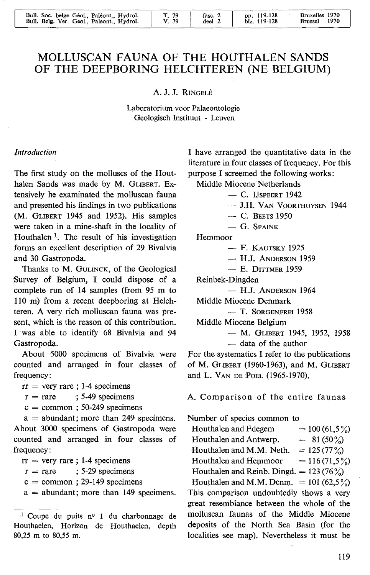# MOLLUSCAN FAUNA OF THE HOUTHALEN SANDS OF THE DEEPBORING HELCHTEREN (NE BELGIUM)

A. J. J. RINGELÉ

Laboratorium voor Palaeontologie Geologisch Instituut - Leuven

#### *Introduction*

The first study on the molluscs of the Houthalen Sands was made by M. GLIBERT. Extensively he examinated the molluscan fauna and presented his findings in two publications (M. GLIBERT 1945 and 1952). His samples were taken in a mine-shaft in the locality of Houthalen<sup>1</sup>. The result of his investigation forms an excellent description of 29 Bivalvia and 30 Gastropoda.

Thanks to M. GuLINCK, of the Geological Survey of Belgium, 1 could dispose of a complete run of 14 samples (from *95* m to 110 m) from a recent deepboring at Helchteren. A very rich molluscan fauna was present, which is the reason of this contribution. 1 was able to identify 68 Bivalvia and 94 Gastropoda.

About 5000 specimens of Bivalvia were counted and arranged in four classes of frequency:

- $rr =$  very rare ; 1-4 specimens
- $r = rare$ ; 5-49 specimens
- $c =$  common; 50-249 specimens

 $a =$  abundant; more than 249 specimens. About 3000 specimens of Gastropoda were counted and arranged in four classes of frequency:

- $rr =$  very rare; 1-4 specimens
- $r = rare$  ; 5-29 specimens
- $c =$  common ; 29-149 specimens
- $a =$  abundant; more than 149 specimens.

1 have arranged the quantitative data in the literature in four classes of frequency. For this purpose 1 screemed the following works :

Middle Miocene Netherlands

- $-$  C. IJSPEERT 1942
- J.H. VAN VOORTHUYSEN 1944
- C. BEETS 1950
- $-$  G. Spaink

Hemmoor

- F. KAUTSKY 1925
- $-$  H.J. ANDERSON 1959
- E. DITTMER 1959

Reinbek-Dingden

- H.J. ANDERSON 1964

Middle Miocene Denmark

- T. SORGENFREI 1958

Middle Miocene Belgium

- M. GLIBERT 1945, 1952, 1958 - data of the author

For the systematics 1 refer to the publications of M. GLIBERT (1960-1963), and M. GLIBERT and L. VAN DE POEL (1965-1970).

A. Comparison of the entire faunas

Number of species common to

| $= 100(61,5\%)$<br>Houthalen and Edegem      |
|----------------------------------------------|
| Houthalen and Antwerp.<br>$= 81 (50\%)$      |
| Houthalen and M.M. Neth.<br>$= 125 (77%)$    |
| $= 116(71,5\%)$<br>Houthalen and Hemmoor     |
| Houthalen and Reinb. Dingd. $= 123 (76\%)$   |
| Houthalen and M.M. Denm. $= 101 (62.5\%)$    |
| This comparison undoubtedly shows a very     |
| great resemblance between the whole of the   |
| molluscan faunas of the Middle Miocene       |
| deposits of the North Sea Basin (for the     |
| localities see map). Nevertheless it must be |

<sup>1</sup> Coupe du puits n° 1 du charbonnage de Houthaelen, Horizon de Houthaelen, depth 80,25 m to 80,55 m.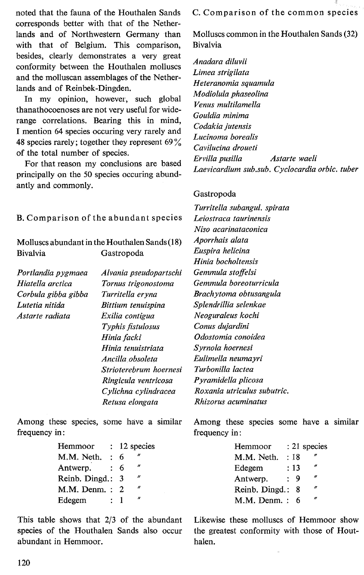noted that the fauna of the Houthalen Sands corresponds better with that of the Netherlands and of Northwestern Germany than with that of Belgium. This comparison, besides, clearly demonstrates a very great conformity between the Houthalen molluscs and the molluscan assemblages of the Netherlands and of Reinbek-Dingden.

In my opinion, however, such global thanathocoenoses are not very useful for widerange correlations. Bearing this in mind, I mention 64 species occuring very rarely and 48 species rarely; together they represent  $69\%$ of the total number of species.

For that reason my conclusions are based principally on the 50 species occuring abundantly and commonly.

B. Comparison of the abundant species *Leiostraca taurinensis* 

Molluscs abundant in the Houthalen Sands (18) *Aporrhais alata*  Bivalvia Gastropoda

*Portlandia pygmaea Hiatella arctica Corbula gibba gibba Lutetia nitida Astarte radiata* 

*Alvania pseudopartschi Tornus trigonostoma Turritella eryna Bittium tenuispina Exilia contigua Typhis fistulosus Hinia* facki *Hinia tenuistriata Ancilla .obsoleta Strioterebrum hoernesi Ringicula ventricosa Cylichna cylindracea Retusa elongata* 

Among these species, some have a similar frequency in :

| Hemmoor        |                |   | $: 12$ species        |
|----------------|----------------|---|-----------------------|
| M.M. Neth.     | ÷              | 6 |                       |
| Antwerp.       | $\ddot{\cdot}$ | 6 | $\cdot$               |
| Reinb. Dingd.: |                | 3 | $\boldsymbol{\prime}$ |
| M.M. Denm.:    |                | 2 | ń                     |
| Edegem         |                |   | $\boldsymbol{r}$      |

This table shows that 2/3 of the abundant species of the Houthalen Sands also occur abundant in Hemmoor.

C. Comparison of the common species

Molluscs common in the Houthalen Sands (32) Bivalvia

*Anadara diluvii Limea strigilata Heteranomia squamula Modiolula phaseolina Venus multilamella Gouldia minima Codakia jutensis Lucinoma borealis Cavilucina droueti Ervilla pusilla Astarte waeli Laevicardium sub.sub. Cyclocardia orbic. tuber* 

## Gastropoda

*Turritella subangul. spirata Niso acarinataconica Euspira helicina Hinia bocholtensis Gemmula staffe/si Gemmula boreoturricula Brachytoma obtusangula Splendrillia selenkae Neoguraleus kochi Conus dujardini Odostomia conoidea Syrnola hoernesi Eulimella neumayri Turbonilla lactea Pyramidella plicosa Roxania utriculus subutric. Rhizorus acuminatus* 

Among these species some have a similar frequency in:

| Hemmoor        |     | : 21 species |
|----------------|-----|--------------|
| M.M. Neth.     | :18 | n            |
| Edegem         | :13 | n            |
| Antwerp.       | 9   | n            |
| Reinb. Dingd.: | -8  | n            |
| M.M. Denm.:    | 6   | n            |

Likewise these molluscs of Hemmoor show the greatest conformity with those of Houthalen.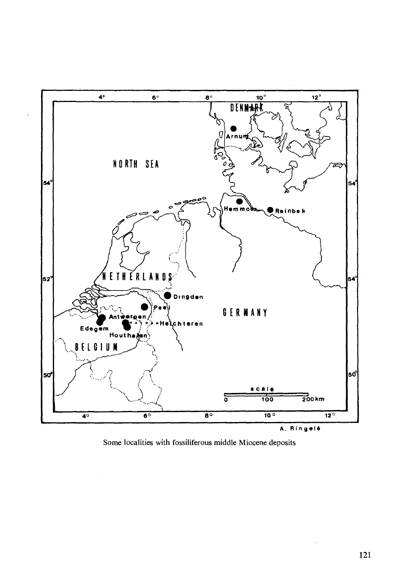

Some localities with fossiliferous middle Miocene deposits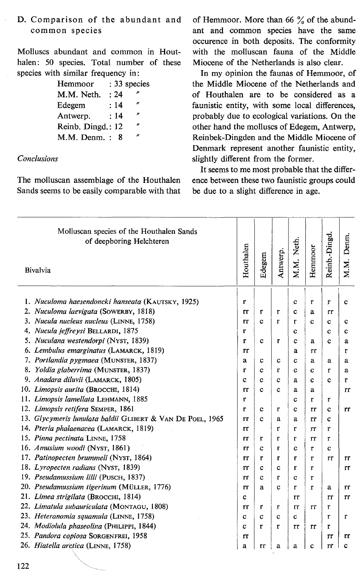## D. Comparison of the abundant and common species

Molluscs abundant and common in Houthalen: 50 species. Total number of these species with similar frequency in:

| Hemmoor           |      | : 33 species |
|-------------------|------|--------------|
| M.M. Neth.        | : 24 | n            |
| Edegem            | : 14 | n            |
| Antwerp.          | : 14 | n            |
| Reinb. Dingd.: 12 |      | n            |
| M.M. Denm.:       | 8    | n            |

### **Conclusions**

The molluscan assemblage of the Houthalen Sands seems to be easily comparable with that of Hemmoor. More than 66 % of the abundant and common species have the same occurence in both deposits. The conformity with the molluscan fauna of the Middle Miocene of the Netherlands is also clear.

In my opinion the faunas of Hemmoor, of the Middle Miocene of the Netherlands and of Houthalen are to be considered as a faunistic entity, with some local differences, probably due to ecological variations. On the other hand the molluscs of Edegem, Antwerp, Reinbek-Dingden and the Middle Miocene of Denmark represent another faunistic entity, slightly different from the former.

It seems to me most probable that the difference between these two faunistic groups could be due to a slight difference in age.

| Molluscan species of the Houthalen Sands<br>of deepboring Helchteren<br>Bivalvia | Houthalen | Edegem           | Antwerp.     | M.M. Neth.  | Hemmoor      | Reinb.-Dingd | Denm.<br>M.M. |
|----------------------------------------------------------------------------------|-----------|------------------|--------------|-------------|--------------|--------------|---------------|
|                                                                                  |           |                  |              |             |              |              |               |
| 1. Nuculoma haesendoncki hanseata (KAUTSKY, 1925)                                | r         |                  |              | $\mathbf c$ | r            | r            | c             |
| 2. Nuculoma laevigata (SOWERBY, 1818)                                            | rr        | r                | r            | c           | a            | rr           |               |
| 3. Nucula nucleus nucleus (LINNE, 1758)                                          | rr        | $\mathbf c$      | $\mathbf{r}$ | r           | Ċ            | c            | c             |
| 4. Nucula jeffreysi BELLARDI, 1875<br>5. Nuculana westendorpi (NYST, 1839)       | r         |                  |              | c           |              | c            | ¢             |
| 6. Lembulus emarginatus (LAMARCK, 1819)                                          | r         | $\mathbf c$      | r            | Ċ           | a            | c            | a             |
| 7. Portlandia pygmaea (MUNSTER, 1837)                                            | rr        |                  |              | a           | rr           |              | r             |
| 8. Yoldia glaberrima (MUNSTER, 1837)                                             | a<br>r    | c                | c<br>r       | c           | a            | a            | a             |
| 9. Anadara diluvii (LAMARCK, 1805)                                               | c         | c<br>$\mathbf c$ | c            | c<br>a      | c<br>c       | r<br>Ċ       | a             |
| 10. Limopsis aurita (BROCCHI, 1814)                                              | rr        | c                | c            | a           | a            |              | r<br>rr       |
| 11. Limopsis lamellata LEHMANN, 1885                                             | r         |                  |              | Ċ           | r            | r            |               |
| 12. Limopsis retifera SEMPER, 1861                                               | r         | c                | r            | Ċ           | rr           | $\mathbf c$  | Tľ            |
| 13. Glycymeris lunulata baldii GLIBERT & VAN DE POEL, 1965                       | rr        | c                | a            | a           | rr           | C            |               |
| 14. Pteria phalaenacea (LAMARCK, 1819)                                           | rr        |                  | r            | r           | rr           | r            |               |
| 15. Pinna pectinata LINNE, 1758                                                  | rr        | r                | r            | r           | rr           | $\mathbf{r}$ |               |
| 16. Amusium woodi (NYST, 1861)                                                   | rr        | c                | T            | $\mathbf c$ | r            | Ċ            |               |
| 17. Patinopecten brummeli (NYST, 1864)                                           | rr        | $\mathbf{r}$     | $\mathbf{r}$ | r           | r            | rr           | rr            |
| 18. Lyropecten radians (NYST, 1839)                                              | rr        | $\mathbf c$      | $\mathbf c$  | r           | $\mathbf{r}$ |              | rr            |
| 19. Pseudamussium lilli (PUSCH, 1837)                                            | rr        | Ċ                | r            | c           | r            |              |               |
| 20. Pseudamussium tigerinum (MÜLLER, 1776)                                       | rr        | a                | c            | r           | r            | a            | rr            |
| 21. Limea strigilata (BROCCHI, 1814)                                             | c         |                  |              | rr          |              | rr           | rr            |
| 22. Limatula subauriculata (MONTAGU, 1808)                                       | rr        | r                | r            | тr          | rr           | r            |               |
| 23. Heteranomia squamula (LINNE, 1758)                                           | Ċ         | $\mathbf c$      | $\mathbf c$  | c           |              | r            | r             |
| 24. Modiolula phaseolina (PHILIPPI, 1844)                                        | Ċ         | r                | r            | Tr          | rr           | $\mathbf{r}$ |               |
| 25. Pandora copiosa SORGENFREI, 1958                                             | rr        |                  |              |             |              | rr           | rr            |
| 26. Hiatella arctica (LINNE, 1758)                                               | a         | rr               | a            | a           | c            | rr           | c             |
|                                                                                  |           |                  |              |             |              |              |               |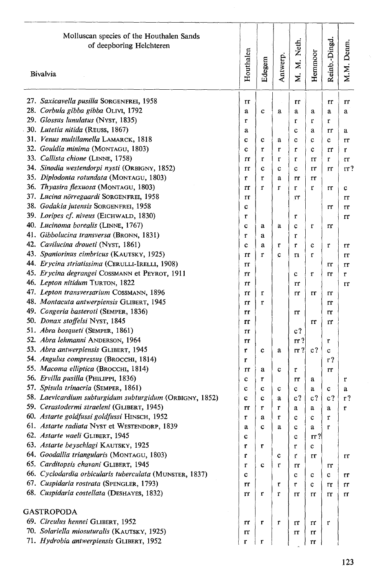| Molluscan species of the Houthalen Sands<br>of deepboring Helchteren                | Houthalen    |              |             | M. M. Neth.    |             | Reinb.-Dingd. | M.M. Denm |
|-------------------------------------------------------------------------------------|--------------|--------------|-------------|----------------|-------------|---------------|-----------|
| Bivalvia                                                                            |              | Edegem       | Antwerp.    |                | Hemmoor     |               |           |
| 27. Saxicavella pusilla SORGENFREI, 1958                                            | rr           |              |             | rr             |             | rr            | rr        |
| 28. Corbula gibba gibba OLIVI, 1792                                                 | a            | $\mathbf{C}$ | a           | a              | a           | a             | a         |
| 29. Glossus lunulatus (NYST, 1835)                                                  | r            |              |             | r              | r           | r             |           |
| 30. Lutetia nitida (REUSS, 1867)                                                    | a            |              |             | c              | a           | rr            | a         |
| 31. Venus multilamella LAMARCK, 1818                                                | C            | c            | a           | c              | $\mathbf c$ | c             | Tr        |
| 32. Gouldia minima (MONTAGU, 1803)                                                  | c            | r            | $\mathbf r$ | r              | c           | rr            | r         |
| 33. Callista chione (LINNE, 1758)                                                   | rr           | r            | r           | r              | rr          | r             | Tľ        |
| 34. Sinodia westendorpi nysti (ORBIGNY, 1852)                                       | rr           | Ċ            | c           | $\mathbf c$    | rr          | rr            | rr ?      |
| 35. Diplodonta rotundata (MONTAGU, 1803)                                            | r            | r            | a           | rr             | rr          |               |           |
| 36. Thyasira flexuosa (MONTAGU, 1803)                                               | rr           | r            | r           | r              | r           | rr            | c         |
| 37. Lucina nörregaardi SORGENFREI, 1958                                             | rr           |              |             | TГ             |             |               | rr        |
| 38. Godakia jutensis SORGENFREI, 1958                                               | ¢            |              |             |                |             | rr            | rr        |
| 39. Loripes cf. niveus (EICHWALD, 1830)                                             | r            |              |             | r              |             |               | rr        |
| 40. Lucinoma borealis (LINNE, 1767)                                                 | C            | a            | a           | c              | r           | rr            |           |
| 41. Gibbolucina transversa (BRONN, 1831)                                            | r            | á            |             | r              |             |               |           |
| 42. Cavilucina droueti (NYST, 1861)                                                 | c            | а            | r           | r              | c           | r             | rr        |
| 43. Spaniorinus cimbricus (KAUTSKY, 1925)                                           | rr           | r            | С           | n              | r           |               | rr        |
| 44. Erycina striatissima (CERULLI-IRELLI, 1908)                                     | rr           |              |             |                |             | rr            | rr        |
| 45. Erycina degrangei COSSMANN et PEYROT, 1911                                      | rr           |              |             | c              | r           | rr            | r         |
| 46. Lepton nitidum TURTON, 1822                                                     | rr           |              |             | TΓ             |             |               | rr        |
| 47. Lepton transversarium COSSMANN, 1896                                            | rr           | r            |             | rr             | rr          | rr            |           |
| 48. Montacuta antwerpiensis GLIBERT, 1945                                           | rr           | r            |             |                |             | rr            |           |
| 49. Congeria basteroti (SEMPER, 1836)                                               | rr           |              |             | rr             |             | rr            |           |
| 50. Donax stoffelsi NYST, 1845                                                      | rr           |              |             |                | rr          | rr            |           |
| 51. Abra bosqueti (SEMPER, 1861)                                                    | rr           |              |             | c <sub>1</sub> |             |               |           |
| 52. Abra lehmanni ANDERSON, 1964                                                    | rr           |              |             | rr ?           |             | r             |           |
| 53. Abra antwerpiensis GLIBERT, 1945                                                | r            | ¢            | a           | $rr$ ?         | $c$ ?       | c             |           |
| 54. Angulus compressus (BROCCHI, 1814)                                              | r            |              |             |                |             | r?            |           |
| 55. Macoma elliptica (BROCCHI, 1814)                                                | rr           | a            | Ċ           | r              |             | rr            |           |
| 56. Ervilla pusilla (PHILIPPI, 1836)                                                | c            | r            |             | rr             | a           |               | r         |
| 57. Spisula trinacria (SEMPER, 1861)                                                | c            | $\mathbf c$  | c           | c              | a           | c             | a         |
| 58. Laevicardium subturgidum subturgidum (ORBIGNY, 1852)                            | c            | Ċ            | a           | $c$ ?          | c?          | $c$ ?         | r?        |
| 59. Cerastodermi straeleni (GLIBERT, 1945)                                          | rr           | r            | r           | a              | a           | à             | ŗ         |
| 60. Astarte goldfussi goldfussi HINSCH, 1952                                        | $\mathbf{r}$ | a            | r           | c              | $\mathbf c$ | r             |           |
| 61. Astarte radiata NYST et WESTENDORP, 1839                                        | a            | c            | a           | с              | a           | r             |           |
| 62. Astarte waeli GLIBERT, 1945                                                     | c            |              |             | ¢              | $rr$ ?      |               |           |
| 63. Astarte beyschlagi KAUTSKY, 1925                                                | T            | r            |             | r              | c           |               |           |
| 64. Goodallia triangularis (MONTAGU, 1803)<br>65. Carditopsis chavani GLIBERT, 1945 | r            |              | c           | r              | rr          |               | rr        |
| 66. Cyclodardia orbicularis tuberculata (MUNSTER, 1837)                             | r            | C            | r           | rr             |             | rr            |           |
| 67. Cuspidaria rostrata (SPENGLER, 1793)                                            | c            |              |             | с              | c           | с             | rr        |
| 68. Cuspidaria costellata (DESHAYES, 1832)                                          | rr           |              | r<br>r      | r              | c           | rr            | rr        |
|                                                                                     | rr           | r            |             | тr             | rr          | rr            | rr        |
| GASTROPODA                                                                          |              |              |             |                |             |               |           |
| 69. Circulus hennei GLIBERT, 1952                                                   | rr           | r            | r           | rr             | rr          | r             |           |
| 70. Solariella miosuturalis (KAUTSKY, 1925)                                         | rr           |              |             | rr             | rr          |               |           |
| 71. Hydrobia antwerpiensis GLIBERT, 1952                                            | r            | r            |             |                | rr          |               |           |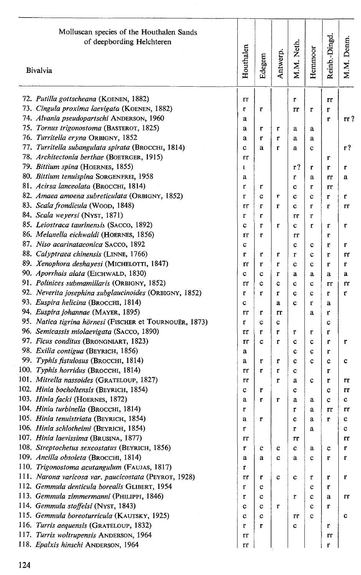| Molluscan species of the Houthalen Sands<br>of deepbording Helchteren<br>Bivalvia     | Houthalen    | Edegem | Antwerp.     | M.M. Neth.  | Hemmoor     | Reinb.-Dingd | M.M. Denm. |
|---------------------------------------------------------------------------------------|--------------|--------|--------------|-------------|-------------|--------------|------------|
| 72. Putilla gottscheana (KOENEN, 1882)                                                | rr           |        |              | r           |             | rr           |            |
| 73. Cingula proxima laevigata (KOENEN, 1882)                                          | r            | r      |              | rr          | r           | r            |            |
| 74. Alvania pseudopartschi ANDERSON, 1960                                             | a            |        |              |             |             | r            | rr?        |
| 75. Tornus trigonostoma (BASTEROT, 1825)                                              | a            | r      | r            | a           | a           |              |            |
| 76. Turritella eryna ORBIGNY, 1852                                                    | a            | r      | r            | a           | a           |              |            |
| 77. Turritella subangulata spirata (BROCCHI, 1814)                                    | c            | a      | $\mathbf{r}$ | a           | c           |              | r?         |
| 78. Architectonia berthae (BOETRGER, 1915)                                            | rr           |        |              |             |             | r            |            |
| 79. Bittium spina (HOERNES, 1855)                                                     | $\mathbf{I}$ |        |              | r?          | r           | r            | r          |
| 80. Bittium tenuispina SORGENFREI, 1958                                               | a            |        |              | r           | a           | rr           | a          |
| 81. Acirsa lanceolata (BROCCHI, 1814)                                                 | r            | r      |              | c           | r           | rr           |            |
| 82. Amaea amoena subreticulata (ORBIGNY, 1852)                                        | r            | c      | ŗ            | $\mathbf c$ | ¢           | r            | r          |
| 83. Scala frondicula (WOOD, 1848)                                                     | rr           | r      | $\mathbf r$  | c           | r           | r            | rr         |
| 84. Scala weyersi (NYST, 1871)                                                        | r            | r      |              | rr          | r           |              |            |
| 85. Leiostraca taurinensis (SACCO, 1892)                                              | c            | r      | r            | c           | r           | r            | r          |
| 86. Melanella eichwaldi (HOERNES, 1856)                                               | rr           | r      |              | rr          |             | r            |            |
| 87. Niso acarinataconica SACCO, 1892                                                  | c            |        |              | c           | с           | r            | r          |
| 88. Calyptraea chinensis (LINNE, 1766)                                                | r            | r      | T            | r           | c           | r            | rr         |
| 89. Xenophora deshayesi (MICHELOTTI, 1847)                                            | rr           | r      | r            | Ċ           | Ċ           | r            | r          |
| 90. Aporrhais alata (EICHWALD, 1830)                                                  | c            | c      | r            | a           | a           | a            | a          |
| 91. Polinices submamillaris (ORBIGNY, 1852)                                           | rr           | c      | Ċ            | c           | c           | rr           | rr         |
| 92. Neverita josephina subglaucinoides (ORBIGNY, 1852)                                | r            | r      | r            | c           | $\mathbf c$ | r            | r          |
| 93. Euspira helicina (BROCCHI, 1814)                                                  | c            |        | a            | c           | r           | a            |            |
| 94. Euspira johannae (MAYER, 1895)                                                    | rr           | r      | rr           |             | a           | r            |            |
| 95. Natica tigrina hörnesi (FISCHER et TOURNOUËR, 1873)                               | Ť            | c      | Ċ            |             |             | c            |            |
| 96. Semicassis miolaevigata (SACCO, 1890)                                             | rr           | r      | r            | ŗ           | r           | r            |            |
| 97. Ficus conditus (BRONGNIART, 1823)                                                 | rr           | c      | $\mathbf{r}$ | с           | с           | r            | r          |
| 98. Exilia contigua (BEYRICH, 1856)                                                   | a            |        |              | c           | c           | r            |            |
| 99. Typhis fistulosus (Вкоссні, 1814)                                                 | a            | r      | r            | с           | c           | c            | c          |
| 100. Typhis horridus (BROCCHI, 1814)                                                  | rr           | r      | r            | c           |             | r            |            |
| 101. Mitrella nassoides (GRATELOUP, 1827)                                             | rr           |        | r            | a           | c           | r            | rr         |
| 102. Hinia bocholtensis (BEYRICH, 1854)                                               | c            | r      |              | c           |             | c            | rr         |
| 103. Hinia facki (HOERNES, 1872)                                                      | a            | r      | r            | a           | a           | c            | c          |
| 104. Hinia turbinella (BROCCHI, 1814)                                                 | r            |        |              | r           | а           | rr           | rr         |
| 105. Hinia tenuistriata (BEYRICH, 1854)                                               | a            | r      |              | C           | a           | r            | c          |
| 106. Hinia schlotheimi (BEYRICH, 1854)                                                | r            |        |              | r           | a           |              | c          |
| 107. Hinia laevissima (BRUSINA, 1877)                                                 | rr           |        |              | rr          |             |              | rr         |
| 108. Streptochetus sexcostatus (BEYRICH, 1856)                                        | r            | c      | c            | c           | а           | c            | r          |
| 109. Ancilla obsoleta (BROCCHI, 1814)<br>110. Trigonostoma acutangulum (FAUJAS, 1817) | a            | a      | c            | a           | с           | r            | т          |
| 111. Narona varicosa var. paucicostata (PEYROT, 1928)                                 | r            |        |              |             |             |              |            |
| 112. Gemmula denticula borealis GLIBERT, 1954                                         | rr<br>r      | r<br>c | c            | c           | r           | r            | r          |
| 113. Gemmula zimmermanni (PHILIPPI, 1846)                                             |              |        |              |             | c           | r            |            |
| 114. Gemmula stoffelsi (NYST, 1843)                                                   | r<br>c       | с<br>с | r            | r           | с<br>Ć      | a<br>r       | rr         |
| 115. Gemmula boreoturricula (KAUTSKY, 1925)                                           | c            | c      |              | rr          | c           |              | Ċ          |
| 116. Turris aequensis (GRATELOUP, 1832)                                               | r            | r      |              | с           |             | r            |            |
| 117. Turris woltrupensis ANDERSON, 1964                                               | Тľ           |        |              |             |             | rr           |            |
| 118. Epalxis hinschi ANDERSON, 1964                                                   | rr           |        |              |             |             | r            |            |
|                                                                                       |              |        |              |             |             |              |            |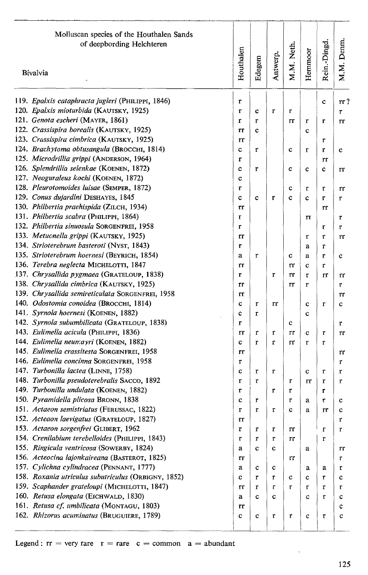| Molluscan species of the Houthalen Sands<br>of deepbording Helchteren | Houthalen | Edegem       | Antwerp.     | M.M. Neth.  | Hemmoor     | Rein.-Dingd. | M.M. Denm. |
|-----------------------------------------------------------------------|-----------|--------------|--------------|-------------|-------------|--------------|------------|
| Bivalvia                                                              |           |              |              |             |             |              |            |
| 119. Epalxis cataphracta jugleri (PHILIPPI, 1846)                     | r         |              |              |             |             | c            | $rr$ ?     |
| 120. Epalxis mioturbida (KAUTSKY, 1925)                               | r         | c            | r            | r           |             |              | r          |
| 121. Genota escheri (MAYER, 1861)                                     | r         | r            |              | rr          | r           | r            | rr         |
| 122. Crassispira borealis (KAUTSKY, 1925)                             | rr        | C            |              |             | c           |              |            |
| 123. Crassispira cimbrica (KAUTSKY, 1925)                             | rr        |              |              |             |             | r            |            |
| 124. Brachytoma obtusangula (BROCCHI, 1814)                           | c         | r            |              | $\mathbf c$ | r           | r            | c          |
| 125. Microdrillia grippi (ANDERSON, 1964)                             | r         |              |              |             |             | rr           |            |
| 126. Splendrillia selenkae (KOENEN, 1872)                             | C         | r            |              | $\mathbf c$ | c           | c            | rr         |
| 127. Neoguraleus kochi (KOENEN, 1872)                                 | c         |              |              |             |             |              |            |
| 128. Pleurotomoides luisae (SEMPER, 1872)                             | r         |              |              | c           | r           | r            | rr         |
| 129. Conus dujardini DESHAYES, 1845                                   | c         | c            | r            | c           | c           | r            | r          |
| 130. Philbertia praehispida (ZILCH, 1934)                             | rr        |              |              |             |             | rr           |            |
| 131. Philbertia scabra (PHILIPPI, 1864)                               | r         |              |              |             | rr          |              | r          |
| 132. Philbertia sinuosula SORGENFREI, 1958                            | r         |              |              |             |             | r            | r          |
| 133. Metucnella grippi (KAUTSKY, 1925)                                | rr        |              |              |             | r           | r            | rr         |
| 134. Strioterebrum basteroti (NYST, 1843)                             | r         |              |              |             | a           | r            |            |
| 135. Strioterebrum hoernesi (BEYRICH, 1854)                           | a         | r            |              | c           | a           | r            | c          |
| 136. Terebra neglecta MICHELOTTI, 1847                                | rr        |              |              | rr          | c           | r            |            |
| 137. Chrysallida pygmaea (GRATELOUP, 1838)                            | r         |              | r            | rr          | $\mathbf r$ | rr           | rr         |
| 138. Chrysallida cimbrica (KAUTSKY, 1925)                             | rr        |              |              | rr          | r           |              | r          |
| 139. Chrysallida semireticulata SORGENFREI, 1958                      | rr        |              |              |             |             |              | rr         |
| 140. Odostomia conoidea (В оссии, 1814)                               | c         | r            | rr           |             | c           | r            | c          |
| 141. Syrnola hoernesi (KOENEN, 1882)                                  | c         | r            |              |             | c           |              |            |
| 142. Syrnola subumbilicata (GRATELOUP, 1838)                          | r         |              |              | Ċ           |             |              | r          |
| 143. Eulimella acicula (PHILIPPI, 1836)                               | rr        | r            | r            | rr          | c           | r            | rr         |
| 144. Eulimella neumayri (KOENEN, 1882)                                | c         | r            | $\mathbf{r}$ | rr          | r           | r            |            |
| 145. Eulimella crassitesta SORGENFREI, 1958                           | rr        |              |              |             |             |              | rr         |
| 146. Eulimella concinna SORGENFREI, 1958                              | r         |              |              |             |             |              | r          |
| 147. Turbonilla lactea (LINNE, 1758)                                  | c         | r            | r            |             | c           | r            | r          |
| 148. Turbonilla pseudoterebralis SACCO, 1892                          | r         | $\mathbf{r}$ |              | r           | rr          | r            | r          |
| 149. Turbonilla undulata (KOENEN, 1882)                               | r         |              | r            | r           |             | r            |            |
| 150. Pyramidella plicosa BRONN, 1838                                  | c         | r            |              | $\mathbf r$ | a           | r            | c          |
| 151. Actaeon semistriatus (FERUSSAC, 1822)                            | r         | r            | Ť            | C           | a           | rr           | c          |
| 152. Acteaon laevigatus (GRATELOUP, 1827)                             | rr        |              |              |             |             |              | r          |
| 153. Actaeon sorgenfrei GLIBERT, 1962                                 | r         | r            | r            | rr          |             | r            | r          |
| 154. Crenilabium terebelloides (PHILIPPI, 1843)                       | r         | r            | r            | rr          |             | r            |            |
| 155. Ringicula ventricosa (SOWERBY, 1824)                             | a         | $\mathbf c$  | C            |             | a           |              | гr         |
| 156. Acteocina lajonkaireana (BASTEROT, 1825)                         | rτ        |              |              | rr          |             |              | r          |
| 157. Cylichna cylindracea (PENNANT, 1777)                             | а         | c            | c            |             | а           | a            | r          |
| 158. Roxania utriculus subutriculus (ORBIGNY, 1852)                   | c         | r            | r            | c           | с           | r            | c          |
| 159. Scaphander grateloupi (MICHELOTTI, 1847)                         | rr        | r            | r            | r           | r           | r            | r          |
| 160. Retusa elongata (EICHWALD, 1830)                                 | a         | c            | c            |             |             | r            |            |
| 161. Retusa cf. umbilicata (MONTAGU, 1803)                            |           |              |              |             | c           |              | c          |
| 162. Rhizorus acuminatus (BRUGUIERE, 1789)                            | rr        |              |              |             |             |              | c          |
|                                                                       | c         | с            | r            | r           | c           | r            | c          |

 $\alpha$  .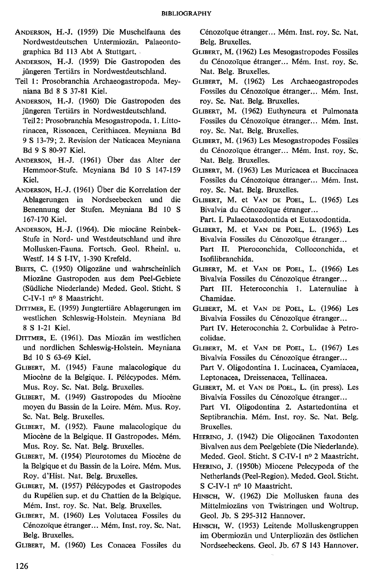- ANDERSON, H.-J. (1959) Die Muschelfauna des Nordwestdeutschen Untermiozan. Palaeontographica Bd 113 Abt A Stuttgart.
- ANDERSON, H.-J. (1959) Die Gastropoden des jüngeren Tertiars in Nordwestdeutschland.
- Teil 1: Prosobranchia Archaeogastropoda. Meyniana Bd 8 S 37-81 Kiel.
- ANDERSON, H.-J. (1960) Die Gastropoden des jüngeren Tertiars in Nordwestdeutschland. Teil 2: Prosobranchia Mesogastropoda. 1. Littorinacea, Rissoacea, Cerithiacea. Meyniana Bd 9 S 13-79; 2. Revision der Naticacea Meyniana Bd 9 S 80-97 Kiel.
- ANDERSON, H.-J. (1961) Über das Alter der Hemmoor-Stufe. Meyniana Bd IO S 147-159 Kiel.
- ANDERSON, H.-J. (1961) Über die Korrelation der Ablagerungen in Nordseebecken und die Benennung der Stufen. Meyniana Bd IO S 167-170 Kiel.
- ANDERSON, H.-J. (1964). Die miocane Reinbek-Stufe in Nord- und Westdeutschland und ihre Mollusken-Fauna. Fortsch. Geol. Rheinl. u. Westf. 14 S 1-IV, 1-390 Krefeld.
- BEETS, C. (1950) Oligozäne und wahrscheinlich Miozane Gastropoden aus dem Peel-Gebiete (Südliche Niederlande) Meded. Geol. Sticht. S C-IV-1 n° 8 Maastricht.
- DITTMER, E. (1959) Jungtertiare Ablagerungen im westlichen Schleswig-Holstein. Meyniana Bd 8 S 1-21 Kiel.
- DITTMER, E. (1961). Das Miozan im westlichen und nordlichen Schleswig-Holstein. Meyniana Bd IO S 63-69 Kiel.
- GLIBERT, M. (1945) Faune malacologique du Miocène de la Belgique. 1. Pélécypodes. Mém. Mus. Roy. Sc. Nat. Belg. Bruxelles.
- GLIBERT, M. (1949) Gastropodes du Miocène moyen du Bassin de la Loire. Mém. Mus. Roy. Sc. Nat. Belg. Bruxelles.
- GLIBERT, M. (1952). Faune malacologique du Miocène de la Belgique. II Gastropodes. Mém. Mus. Roy. Sc. Nat. Belg. Bruxelles.
- GLIBERT, M. (1954) Pleurotomes du Miocène de la Belgique et du Bassin de la Loire. Mém. Mus. Roy. d'Hist. Nat. Belg. Bruxelles.
- GLIBERT, M. (1957) Pélécypodes et Gastropodes du Rupélien sup. et du Chattien de la Belgique. Mém. Inst. roy. Sc. Nat. Belg. Bruxelles.
- GLIBERT, M. (1960) Les Volutacea Fossiles du Cénozoïque étranger ... Mém. Inst. roy. Sc. Nat. Belg. Bruxelles.

GLIBERT, M. (1960) Les Conacea Fossiles du

Cénozoïque étranger ... Mém. lnst. roy. Sc. Nat. Belg. Bruxelles.

- GLIBERT, M. (1962) Les Mesogastropodes Fossiles du Cénozoïque étranger ... Mém. Inst. roy. Sc. Nat. Belg. Bruxelles.
- GLIBERT, M. (1962) Les Archaeogastropodes Fossiles du Cénozoïque étranger... Mém. Inst. roy. Sc. Nat. Belg. Bruxelles.
- GLIBERT, M. (1962) Euthyneura et Pulmonata Fossiles du Cénozoïque étranger... Mém. Inst. roy. Sc. Nat. Belg. Bruxelles.
- GLIBERT, M. (1963) Les Mesogastropodes Fossiles du Cénozoïque étranger... Mém. Inst. roy. Sc. Nat. Belg. Bruxelles.
- GLIBERT, M. (1963) Les Muricacea et Buccinacea Fossiles du Cénozoïque étranger... Mém. Inst. roy. Sc. Nat. Belg. Bruxelles.
- GLIBERT, M. et VAN DE POEL, L. (1965) Les Bivalvia du Cénozoïque étranger...

Part. 1. Palaeotaxodontida et Eutaxodontida.

- GLIBERT, M. et VAN DE POEL, L. (1965) Les Bivalvia Fossiles du Cénozoïque étranger... Part II. Pteroconchida, Colloconchida, et Isofilibranchida.
- GLIBERT, M. et VAN DE POEL, L. (1966) Les Bivalvia Fossiles du Cénozoïque étranger... Part III. Heteroconchia 1. Laternuliae à Chamidae.
- GLIBERT, M. et VAN DE PoEL, L. (1966) Les Bivalvia Fossiles du Cénozoïque étranger... Part IV. Heteroconchia 2. Corbulidae à Petrocolidae.
- GLIBERT, M. et VAN DE PoEL, L. (1967) Les Bivalvia Fossiles du Cénozoïque étranger... Part V. Oligodontina 1. Lucinacea, Cyamiacea, Leptonacea, Dreissenacea, Tellinacea.
- GLIBERT, M. et VAN DE PoEL, L. (in press). Les Bivalvia Fossiles du Cénozoïque étranger... Part VI. Oligodontina 2. Astartedontina et Septibranchia. Mém. lnst. roy. Sc. Nat. Belg. Bruxelles.
- HEERING, J. (1942) Die Oligocänen Taxodonten Bivalven aus dem Peelgebiete (Die Niederlande). Meded. Geol. Sticht. S C-IV-1 n° 2 Maastricht.
- HEERING, J. (1950b) Miocene Pelecypoda of the Netherlands (Peel-Region). Meded. Geol. Sticht. S C-IV-1 n° 10 Maastricht.
- HINSCH, W. (1962) Die Mollusken fauna des Mittelmiozäns von Twistringen und Woltrup. Geol. Jb. S 295-312 Hannover.
- HINSCH, W. (1953) Leitende Molluskengruppen im Obermiozan und Unterpliozan des ostlichen Nordseebeckens. Geol. Jb. 67 S 143 Hannover.